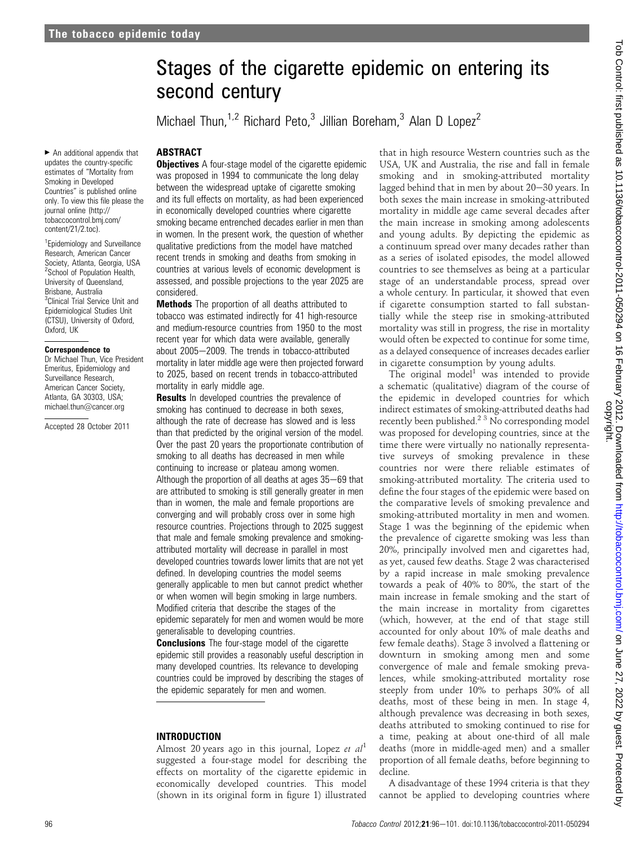$\blacktriangleright$  An additional appendix that updates the country-specific estimates of "Mortality from Smoking in Developed Countries" is published online only. To view this file please the journal online (http:// tobaccocontrol.bmj.com/ content/21/2.toc).

<sup>1</sup> Epidemiology and Surveillance Research, American Cancer Society, Atlanta, Georgia, USA <sup>2</sup> School of Population Health, University of Queensland, Brisbane, Australia <sup>3</sup>Clinical Trial Service Unit and Epidemiological Studies Unit (CTSU), University of Oxford, Oxford, UK

#### Correspondence to

Dr Michael Thun, Vice President Emeritus, Epidemiology and Surveillance Research, American Cancer Society, Atlanta, GA 30303, USA; michael.thun@cancer.org

Accepted 28 October 2011

## ABSTRACT **Objectives** A four-stage model of the cigarette epidemic was proposed in 1994 to communicate the long delay between the widespread uptake of cigarette smoking and its full effects on mortality, as had been experienced in economically developed countries where cigarette smoking became entrenched decades earlier in men than in women. In the present work, the question of whether qualitative predictions from the model have matched recent trends in smoking and deaths from smoking in countries at various levels of economic development is assessed, and possible projections to the year 2025 are considered.

second century

Stages of the cigarette epidemic on entering its

Michael Thun,<sup>1,2</sup> Richard Peto,<sup>3</sup> Jillian Boreham,<sup>3</sup> Alan D Lopez<sup>2</sup>

**Methods** The proportion of all deaths attributed to tobacco was estimated indirectly for 41 high-resource and medium-resource countries from 1950 to the most recent year for which data were available, generally about 2005-2009. The trends in tobacco-attributed mortality in later middle age were then projected forward to 2025, based on recent trends in tobacco-attributed mortality in early middle age.

**Results** In developed countries the prevalence of smoking has continued to decrease in both sexes, although the rate of decrease has slowed and is less than that predicted by the original version of the model. Over the past 20 years the proportionate contribution of smoking to all deaths has decreased in men while continuing to increase or plateau among women. Although the proportion of all deaths at ages  $35-69$  that are attributed to smoking is still generally greater in men than in women, the male and female proportions are converging and will probably cross over in some high resource countries. Projections through to 2025 suggest that male and female smoking prevalence and smokingattributed mortality will decrease in parallel in most developed countries towards lower limits that are not yet defined. In developing countries the model seems generally applicable to men but cannot predict whether or when women will begin smoking in large numbers. Modified criteria that describe the stages of the epidemic separately for men and women would be more generalisable to developing countries.

**Conclusions** The four-stage model of the cigarette epidemic still provides a reasonably useful description in many developed countries. Its relevance to developing countries could be improved by describing the stages of the epidemic separately for men and women.

#### INTRODUCTION

Almost 20 years ago in this journal, Lopez et  $al<sup>1</sup>$ suggested a four-stage model for describing the effects on mortality of the cigarette epidemic in economically developed countries. This model (shown in its original form in figure 1) illustrated

that in high resource Western countries such as the USA, UK and Australia, the rise and fall in female smoking and in smoking-attributed mortality lagged behind that in men by about  $20-30$  years. In both sexes the main increase in smoking-attributed mortality in middle age came several decades after the main increase in smoking among adolescents and young adults. By depicting the epidemic as a continuum spread over many decades rather than as a series of isolated episodes, the model allowed countries to see themselves as being at a particular stage of an understandable process, spread over a whole century. In particular, it showed that even if cigarette consumption started to fall substantially while the steep rise in smoking-attributed mortality was still in progress, the rise in mortality would often be expected to continue for some time, as a delayed consequence of increases decades earlier in cigarette consumption by young adults.

The original model<sup>1</sup> was intended to provide a schematic (qualitative) diagram of the course of the epidemic in developed countries for which indirect estimates of smoking-attributed deaths had recently been published.<sup>2 3</sup> No corresponding model was proposed for developing countries, since at the time there were virtually no nationally representative surveys of smoking prevalence in these countries nor were there reliable estimates of smoking-attributed mortality. The criteria used to define the four stages of the epidemic were based on the comparative levels of smoking prevalence and smoking-attributed mortality in men and women. Stage 1 was the beginning of the epidemic when the prevalence of cigarette smoking was less than 20%, principally involved men and cigarettes had, as yet, caused few deaths. Stage 2 was characterised by a rapid increase in male smoking prevalence towards a peak of 40% to 80%, the start of the main increase in female smoking and the start of the main increase in mortality from cigarettes (which, however, at the end of that stage still accounted for only about 10% of male deaths and few female deaths). Stage 3 involved a flattening or downturn in smoking among men and some convergence of male and female smoking prevalences, while smoking-attributed mortality rose steeply from under 10% to perhaps 30% of all deaths, most of these being in men. In stage 4, although prevalence was decreasing in both sexes, deaths attributed to smoking continued to rise for a time, peaking at about one-third of all male deaths (more in middle-aged men) and a smaller proportion of all female deaths, before beginning to decline.

A disadvantage of these 1994 criteria is that they cannot be applied to developing countries where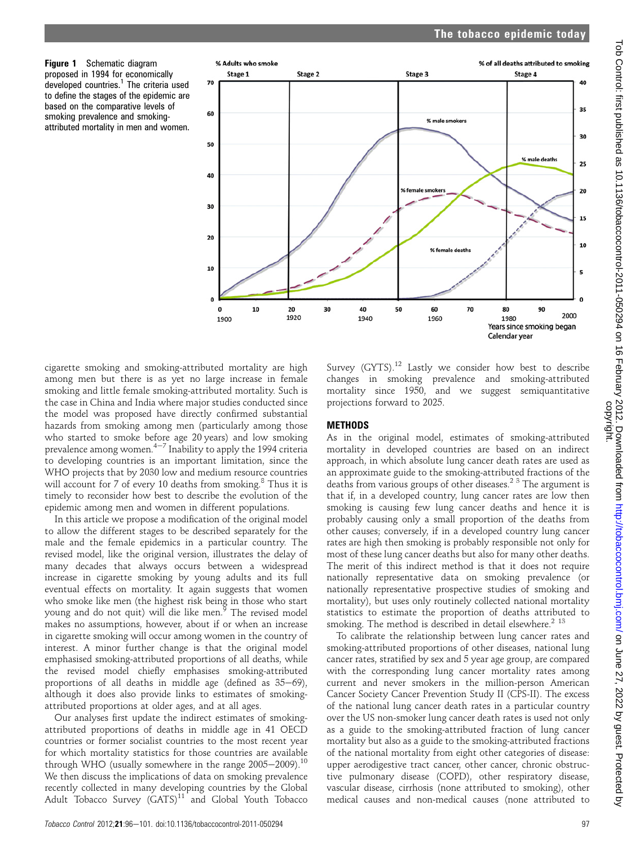Figure 1 Schematic diagram proposed in 1994 for economically<br>developed countries.<sup>1</sup> The criteria used to define the stages of the epidemic are based on the comparative levels of smoking prevalence and smokingattributed mortality in men and women.



projections forward to 2025.

METHODS

cigarette smoking and smoking-attributed mortality are high among men but there is as yet no large increase in female smoking and little female smoking-attributed mortality. Such is the case in China and India where major studies conducted since the model was proposed have directly confirmed substantial hazards from smoking among men (particularly among those who started to smoke before age 20 years) and low smoking prevalence among women. $4-7$  Inability to apply the 1994 criteria to developing countries is an important limitation, since the WHO projects that by 2030 low and medium resource countries will account for 7 of every 10 deaths from smoking.<sup>8</sup> Thus it is timely to reconsider how best to describe the evolution of the epidemic among men and women in different populations.

In this article we propose a modification of the original model to allow the different stages to be described separately for the male and the female epidemics in a particular country. The revised model, like the original version, illustrates the delay of many decades that always occurs between a widespread increase in cigarette smoking by young adults and its full eventual effects on mortality. It again suggests that women who smoke like men (the highest risk being in those who start young and do not quit) will die like men.<sup>5</sup> The revised model makes no assumptions, however, about if or when an increase in cigarette smoking will occur among women in the country of interest. A minor further change is that the original model emphasised smoking-attributed proportions of all deaths, while the revised model chiefly emphasises smoking-attributed proportions of all deaths in middle age (defined as  $35-69$ ), although it does also provide links to estimates of smokingattributed proportions at older ages, and at all ages.

Our analyses first update the indirect estimates of smokingattributed proportions of deaths in middle age in 41 OECD countries or former socialist countries to the most recent year for which mortality statistics for those countries are available through WHO (usually somewhere in the range  $2005-2009$ ).<sup>10</sup> We then discuss the implications of data on smoking prevalence recently collected in many developing countries by the Global Adult Tobacco Survey  $(GATS)^{11}$  and Global Youth Tobacco

mortality in developed countries are based on an indirect approach, in which absolute lung cancer death rates are used as an approximate guide to the smoking-attributed fractions of the deaths from various groups of other diseases.<sup>2 3</sup> The argument is

that if, in a developed country, lung cancer rates are low then smoking is causing few lung cancer deaths and hence it is probably causing only a small proportion of the deaths from other causes; conversely, if in a developed country lung cancer rates are high then smoking is probably responsible not only for most of these lung cancer deaths but also for many other deaths. The merit of this indirect method is that it does not require nationally representative data on smoking prevalence (or nationally representative prospective studies of smoking and mortality), but uses only routinely collected national mortality statistics to estimate the proportion of deaths attributed to smoking. The method is described in detail elsewhere. $2^{13}$ 

Survey (GYTS).<sup>12</sup> Lastly we consider how best to describe changes in smoking prevalence and smoking-attributed mortality since 1950, and we suggest semiquantitative

As in the original model, estimates of smoking-attributed

To calibrate the relationship between lung cancer rates and smoking-attributed proportions of other diseases, national lung cancer rates, stratified by sex and 5 year age group, are compared with the corresponding lung cancer mortality rates among current and never smokers in the million-person American Cancer Society Cancer Prevention Study II (CPS-II). The excess of the national lung cancer death rates in a particular country over the US non-smoker lung cancer death rates is used not only as a guide to the smoking-attributed fraction of lung cancer mortality but also as a guide to the smoking-attributed fractions of the national mortality from eight other categories of disease: upper aerodigestive tract cancer, other cancer, chronic obstructive pulmonary disease (COPD), other respiratory disease, vascular disease, cirrhosis (none attributed to smoking), other medical causes and non-medical causes (none attributed to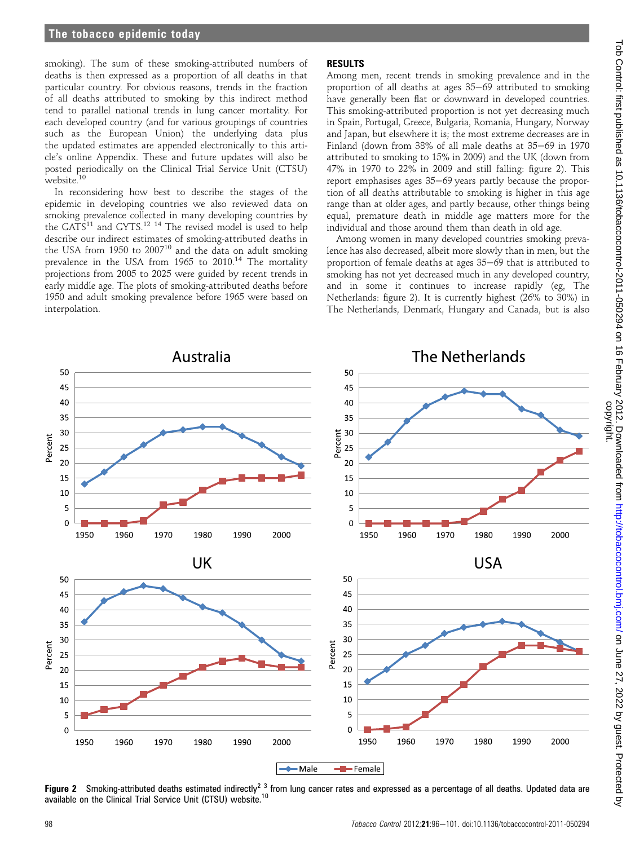## The tobacco epidemic today

smoking). The sum of these smoking-attributed numbers of deaths is then expressed as a proportion of all deaths in that particular country. For obvious reasons, trends in the fraction of all deaths attributed to smoking by this indirect method tend to parallel national trends in lung cancer mortality. For each developed country (and for various groupings of countries such as the European Union) the underlying data plus the updated estimates are appended electronically to this article's online Appendix. These and future updates will also be posted periodically on the Clinical Trial Service Unit (CTSU) website.<sup>10</sup>

In reconsidering how best to describe the stages of the epidemic in developing countries we also reviewed data on smoking prevalence collected in many developing countries by the GATS<sup>11</sup> and GYTS.<sup>12 14</sup> The revised model is used to help describe our indirect estimates of smoking-attributed deaths in the USA from 1950 to 2007<sup>10</sup> and the data on adult smoking prevalence in the USA from 1965 to  $2010$ .<sup>14</sup> The mortality projections from 2005 to 2025 were guided by recent trends in early middle age. The plots of smoking-attributed deaths before 1950 and adult smoking prevalence before 1965 were based on interpolation.

## RESULTS

Among men, recent trends in smoking prevalence and in the proportion of all deaths at ages  $35-69$  attributed to smoking have generally been flat or downward in developed countries. This smoking-attributed proportion is not yet decreasing much in Spain, Portugal, Greece, Bulgaria, Romania, Hungary, Norway and Japan, but elsewhere it is; the most extreme decreases are in Finland (down from  $38\%$  of all male deaths at  $35-69$  in 1970 attributed to smoking to 15% in 2009) and the UK (down from 47% in 1970 to 22% in 2009 and still falling: figure 2). This report emphasises ages  $35-69$  years partly because the proportion of all deaths attributable to smoking is higher in this age range than at older ages, and partly because, other things being equal, premature death in middle age matters more for the individual and those around them than death in old age.

Among women in many developed countries smoking prevalence has also decreased, albeit more slowly than in men, but the proportion of female deaths at ages  $35-69$  that is attributed to smoking has not yet decreased much in any developed country, and in some it continues to increase rapidly (eg, The Netherlands: figure 2). It is currently highest (26% to 30%) in The Netherlands, Denmark, Hungary and Canada, but is also



Figure 2 Smoking-attributed deaths estimated indirectly<sup>2</sup><sup>3</sup> from lung cancer rates and expressed as a percentage of all deaths. Updated data are available on the Clinical Trial Service Unit (CTSU) website.<sup>10</sup>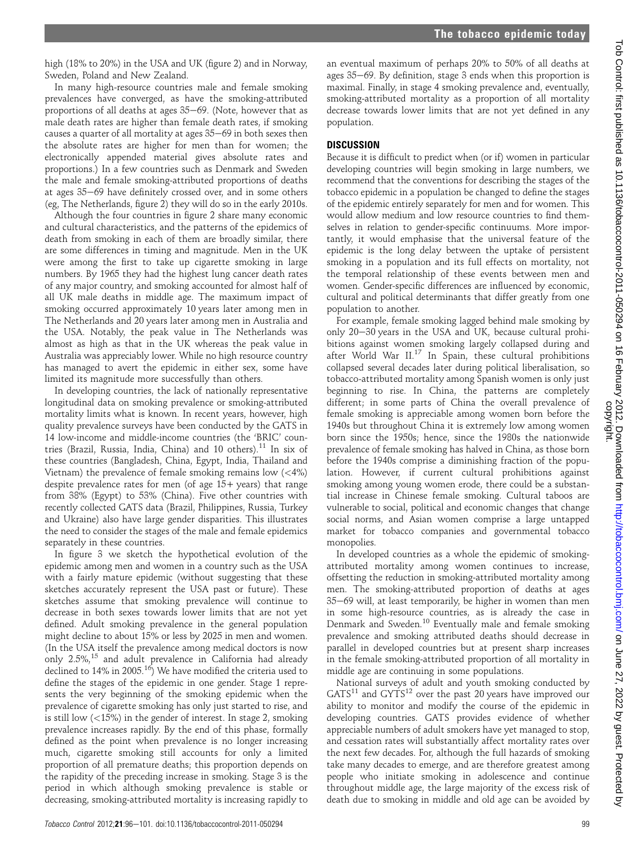high (18% to 20%) in the USA and UK (figure 2) and in Norway, Sweden, Poland and New Zealand.

In many high-resource countries male and female smoking prevalences have converged, as have the smoking-attributed proportions of all deaths at ages  $35-69$ . (Note, however that as male death rates are higher than female death rates, if smoking causes a quarter of all mortality at ages  $35-69$  in both sexes then the absolute rates are higher for men than for women; the electronically appended material gives absolute rates and proportions.) In a few countries such as Denmark and Sweden the male and female smoking-attributed proportions of deaths at ages 35-69 have definitely crossed over, and in some others (eg, The Netherlands, figure 2) they will do so in the early 2010s.

Although the four countries in figure 2 share many economic and cultural characteristics, and the patterns of the epidemics of death from smoking in each of them are broadly similar, there are some differences in timing and magnitude. Men in the UK were among the first to take up cigarette smoking in large numbers. By 1965 they had the highest lung cancer death rates of any major country, and smoking accounted for almost half of all UK male deaths in middle age. The maximum impact of smoking occurred approximately 10 years later among men in The Netherlands and 20 years later among men in Australia and the USA. Notably, the peak value in The Netherlands was almost as high as that in the UK whereas the peak value in Australia was appreciably lower. While no high resource country has managed to avert the epidemic in either sex, some have limited its magnitude more successfully than others.

In developing countries, the lack of nationally representative longitudinal data on smoking prevalence or smoking-attributed mortality limits what is known. In recent years, however, high quality prevalence surveys have been conducted by the GATS in 14 low-income and middle-income countries (the 'BRIC' countries (Brazil, Russia, India, China) and 10 others).<sup>11</sup> In six of these countries (Bangladesh, China, Egypt, India, Thailand and Vietnam) the prevalence of female smoking remains low  $\left\langle \langle 4\% \rangle \right\rangle$ despite prevalence rates for men (of age  $15+$  years) that range from 38% (Egypt) to 53% (China). Five other countries with recently collected GATS data (Brazil, Philippines, Russia, Turkey and Ukraine) also have large gender disparities. This illustrates the need to consider the stages of the male and female epidemics separately in these countries.

In figure 3 we sketch the hypothetical evolution of the epidemic among men and women in a country such as the USA with a fairly mature epidemic (without suggesting that these sketches accurately represent the USA past or future). These sketches assume that smoking prevalence will continue to decrease in both sexes towards lower limits that are not yet defined. Adult smoking prevalence in the general population might decline to about 15% or less by 2025 in men and women. (In the USA itself the prevalence among medical doctors is now only 2.5%,<sup>15</sup> and adult prevalence in California had already declined to  $14\%$  in  $2005$ .<sup>16</sup>) We have modified the criteria used to define the stages of the epidemic in one gender. Stage 1 represents the very beginning of the smoking epidemic when the prevalence of cigarette smoking has only just started to rise, and is still low (<15%) in the gender of interest. In stage 2, smoking prevalence increases rapidly. By the end of this phase, formally defined as the point when prevalence is no longer increasing much, cigarette smoking still accounts for only a limited proportion of all premature deaths; this proportion depends on the rapidity of the preceding increase in smoking. Stage 3 is the period in which although smoking prevalence is stable or decreasing, smoking-attributed mortality is increasing rapidly to

an eventual maximum of perhaps 20% to 50% of all deaths at ages  $35-69$ . By definition, stage 3 ends when this proportion is maximal. Finally, in stage 4 smoking prevalence and, eventually, smoking-attributed mortality as a proportion of all mortality decrease towards lower limits that are not yet defined in any population.

## **DISCUSSION**

Because it is difficult to predict when (or if) women in particular developing countries will begin smoking in large numbers, we recommend that the conventions for describing the stages of the tobacco epidemic in a population be changed to define the stages of the epidemic entirely separately for men and for women. This would allow medium and low resource countries to find themselves in relation to gender-specific continuums. More importantly, it would emphasise that the universal feature of the epidemic is the long delay between the uptake of persistent smoking in a population and its full effects on mortality, not the temporal relationship of these events between men and women. Gender-specific differences are influenced by economic, cultural and political determinants that differ greatly from one population to another.

For example, female smoking lagged behind male smoking by only 20–30 years in the USA and UK, because cultural prohibitions against women smoking largely collapsed during and after World War II.<sup>17</sup> In Spain, these cultural prohibitions collapsed several decades later during political liberalisation, so tobacco-attributed mortality among Spanish women is only just beginning to rise. In China, the patterns are completely different; in some parts of China the overall prevalence of female smoking is appreciable among women born before the 1940s but throughout China it is extremely low among women born since the 1950s; hence, since the 1980s the nationwide prevalence of female smoking has halved in China, as those born before the 1940s comprise a diminishing fraction of the population. However, if current cultural prohibitions against smoking among young women erode, there could be a substantial increase in Chinese female smoking. Cultural taboos are vulnerable to social, political and economic changes that change social norms, and Asian women comprise a large untapped market for tobacco companies and governmental tobacco monopolies.

In developed countries as a whole the epidemic of smokingattributed mortality among women continues to increase, offsetting the reduction in smoking-attributed mortality among men. The smoking-attributed proportion of deaths at ages 35-69 will, at least temporarily, be higher in women than men in some high-resource countries, as is already the case in Denmark and Sweden.<sup>10</sup> Eventually male and female smoking prevalence and smoking attributed deaths should decrease in parallel in developed countries but at present sharp increases in the female smoking-attributed proportion of all mortality in middle age are continuing in some populations.

National surveys of adult and youth smoking conducted by  $GATS<sup>11</sup>$  and  $GYTS<sup>12</sup>$  over the past 20 years have improved our ability to monitor and modify the course of the epidemic in developing countries. GATS provides evidence of whether appreciable numbers of adult smokers have yet managed to stop, and cessation rates will substantially affect mortality rates over the next few decades. For, although the full hazards of smoking take many decades to emerge, and are therefore greatest among people who initiate smoking in adolescence and continue throughout middle age, the large majority of the excess risk of death due to smoking in middle and old age can be avoided by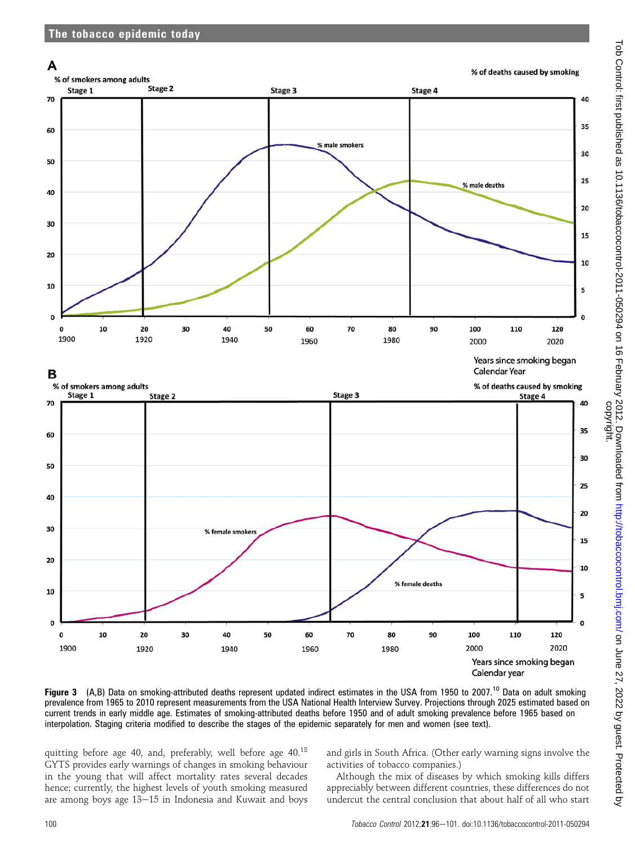

Figure 3 (A,B) Data on smoking-attributed deaths represent updated indirect estimates in the USA from 1950 to 2007.<sup>10</sup> Data on adult smoking prevalence from 1965 to 2010 represent measurements from the USA National Health Interview Survey. Projections through 2025 estimated based on current trends in early middle age. Estimates of smoking-attributed deaths before 1950 and of adult smoking prevalence before 1965 based on interpolation. Staging criteria modified to describe the stages of the epidemic separately for men and women (see text).

quitting before age 40, and, preferably, well before age 40.<sup>18</sup> GYTS provides early warnings of changes in smoking behaviour in the young that will affect mortality rates several decades hence; currently, the highest levels of youth smoking measured are among boys age  $13-15$  in Indonesia and Kuwait and boys

and girls in South Africa. (Other early warning signs involve the activities of tobacco companies.)

Although the mix of diseases by which smoking kills differs appreciably between different countries, these differences do not undercut the central conclusion that about half of all who start